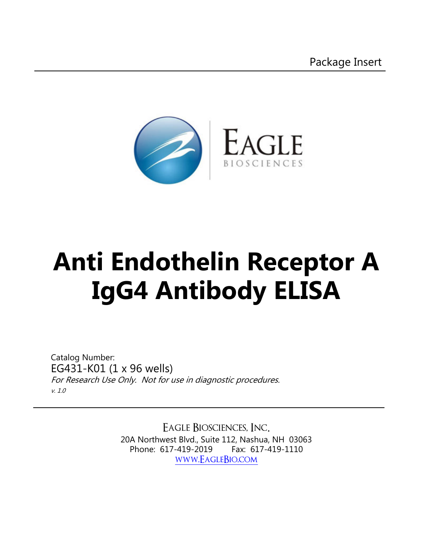

# **[Anti Endothelin Receptor A](https://www.eaglebio.com/anti-endothelin-receptor-a-igg4-antibody-elisa-assay-kit/)  IgG4 Antibody ELISA**

Catalog Number: EG431-K01 (1 x 96 wells) For Research Use Only. Not for use in diagnostic procedures. v. 1.0

> Eagle Biosciences, Inc. 20A Northwest Blvd., Suite 112, Nashua, NH 03063 Phone: 617-419-2019 Fax: 617-419-1110 [www.EagleBio.com](https://www.eaglebio.com)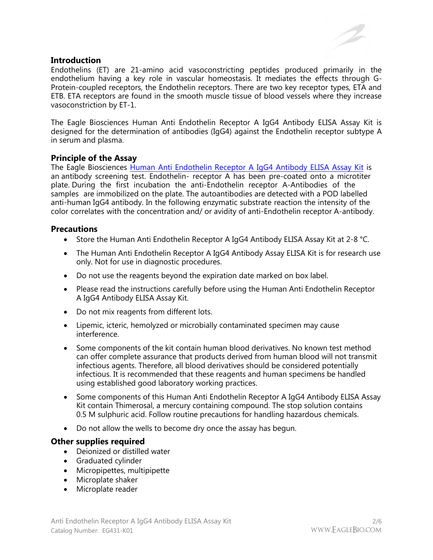#### **Introduction**

Endothelins (ET) are 21-amino acid vasoconstricting peptides produced primarily in the endothelium having a key role in vascular homeostasis. It mediates the effects through G-Protein-coupled receptors, the Endothelin receptors. There are two key receptor types, ETA and ETB. ETA receptors are found in the smooth muscle tissue of blood vessels where they increase vasoconstriction by ET-1.

The Eagle Biosciences Human Anti Endothelin Receptor A IgG4 Antibody ELISA Assay Kit is designed for the determination of antibodies (IgG4) against the Endothelin receptor subtype A in serum and plasma.

## **Principle of the Assay**

The Eagle Biosciences [Human Anti Endothelin Receptor A IgG4 Antibody ELISA Assay Kit](https://www.eaglebio.com/anti-endothelin-receptor-a-igg4-antibody-elisa-assay-kit/) is an antibody screening test. Endothelin- receptor A has been pre-coated onto a microtiter plate. During the first incubation the anti-Endothelin receptor A-Antibodies of the samples are immobilized on the plate. The autoantibodies are detected with a POD labelled anti-human IgG4 antibody. In the following enzymatic substrate reaction the intensity of the color correlates with the concentration and/ or avidity of anti-Endothelin receptor A-antibody.

## **Precautions**

- Store the Human Anti Endothelin Receptor A IgG4 Antibody ELISA Assay Kit at 2-8 °C.
- The Human Anti Endothelin Receptor A IgG4 Antibody Assay ELISA Kit is for research use only. Not for use in diagnostic procedures.
- Do not use the reagents beyond the expiration date marked on box label.
- Please read the instructions carefully before using the Human Anti Endothelin Receptor A IgG4 Antibody ELISA Assay Kit.
- Do not mix reagents from different lots.
- Lipemic, icteric, hemolyzed or microbially contaminated specimen may cause interference.
- Some components of the kit contain human blood derivatives. No known test method can offer complete assurance that products derived from human blood will not transmit infectious agents. Therefore, all blood derivatives should be considered potentially infectious. It is recommended that these reagents and human specimens be handled using established good laboratory working practices.
- Some components of this Human Anti Endothelin Receptor A IgG4 Antibody ELISA Assay Kit contain Thimerosal, a mercury containing compound. The stop solution contains 0.5 M sulphuric acid. Follow routine precautions for handling hazardous chemicals.
- Do not allow the wells to become dry once the assay has begun.

#### **Other supplies required**

- Deionized or distilled water
- Graduated cylinder
- Micropipettes, multipipette
- Microplate shaker
- Microplate reader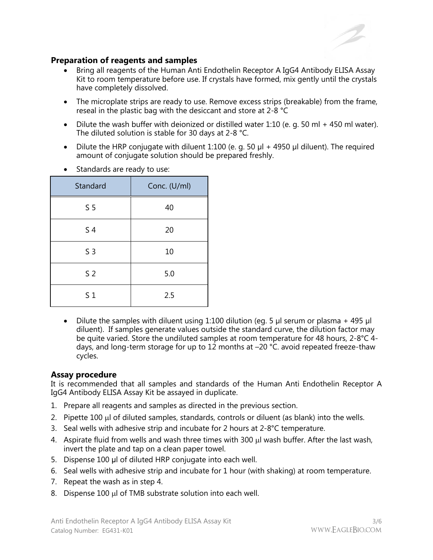

## **Preparation of reagents and samples**

- Bring all reagents of the Human Anti Endothelin Receptor A IgG4 Antibody ELISA Assay Kit to room temperature before use. If crystals have formed, mix gently until the crystals have completely dissolved.
- The microplate strips are ready to use. Remove excess strips (breakable) from the frame, reseal in the plastic bag with the desiccant and store at 2-8 °C
- Dilute the wash buffer with deionized or distilled water 1:10 (e. g. 50 ml + 450 ml water). The diluted solution is stable for 30 days at 2-8 °C.
- Dilute the HRP conjugate with diluent 1:100 (e. g. 50  $\mu$ l + 4950  $\mu$ l diluent). The required amount of conjugate solution should be prepared freshly.

| Standard       | Conc. (U/ml) |
|----------------|--------------|
| S <sub>5</sub> | 40           |
| S <sub>4</sub> | 20           |
| S <sub>3</sub> | 10           |
| S <sub>2</sub> | 5.0          |
| S <sub>1</sub> | 2.5          |

• Standards are ready to use:

Dilute the samples with diluent using 1:100 dilution (eg. 5 µl serum or plasma + 495 µl diluent). If samples generate values outside the standard curve, the dilution factor may be quite varied. Store the undiluted samples at room temperature for 48 hours, 2-8°C 4 days, and long-term storage for up to 12 months at –20 °C. avoid repeated freeze-thaw cycles.

#### **Assay procedure**

It is recommended that all samples and standards of the Human Anti Endothelin Receptor A IgG4 Antibody ELISA Assay Kit be assayed in duplicate.

- 1. Prepare all reagents and samples as directed in the previous section.
- 2. Pipette  $100 \mu$  of diluted samples, standards, controls or diluent (as blank) into the wells.
- 3. Seal wells with adhesive strip and incubate for 2 hours at 2-8°C temperature.
- 4. Aspirate fluid from wells and wash three times with 300 µl wash buffer. After the last wash, invert the plate and tap on a clean paper towel.
- 5. Dispense 100 μl of diluted HRP conjugate into each well.
- 6. Seal wells with adhesive strip and incubate for 1 hour (with shaking) at room temperature.
- 7. Repeat the wash as in step 4.
- 8. Dispense 100 µl of TMB substrate solution into each well.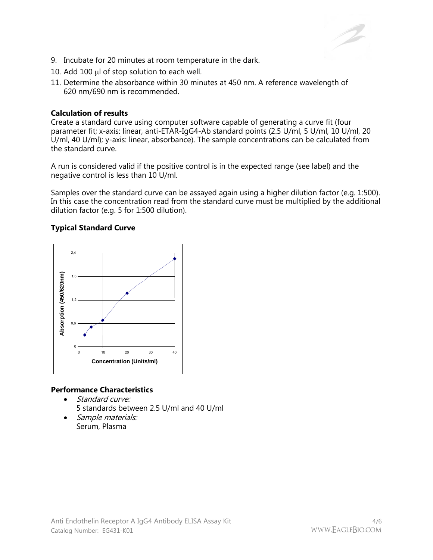

- 9. Incubate for 20 minutes at room temperature in the dark.
- 10. Add 100  $\mu$ l of stop solution to each well.
- 11. Determine the absorbance within 30 minutes at 450 nm. A reference wavelength of 620 nm/690 nm is recommended.

#### **Calculation of results**

Create a standard curve using computer software capable of generating a curve fit (four parameter fit; x-axis: linear, anti-ETAR-IgG4-Ab standard points (2.5 U/ml, 5 U/ml, 10 U/ml, 20 U/ml, 40 U/ml); y-axis: linear, absorbance). The sample concentrations can be calculated from the standard curve.

A run is considered valid if the positive control is in the expected range (see label) and the negative control is less than 10 U/ml.

Samples over the standard curve can be assayed again using a higher dilution factor (e.g. 1:500). In this case the concentration read from the standard curve must be multiplied by the additional dilution factor (e.g. 5 for 1:500 dilution).

#### **Typical Standard Curve**



#### **Performance Characteristics**

- Standard curve:
	- 5 standards between 2.5 U/ml and 40 U/ml
- Sample materials: Serum, Plasma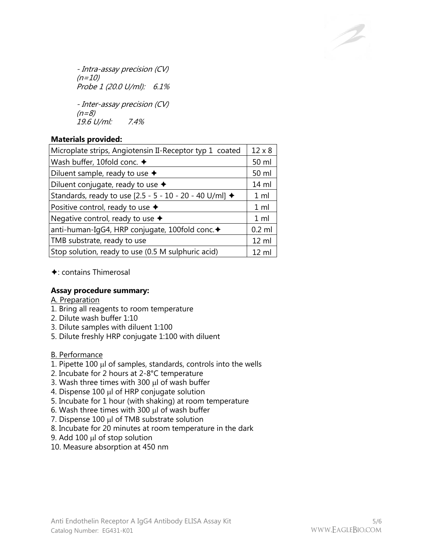- Intra-assay precision (CV)  $(n=10)$ Probe 1 (20.0 U/ml): 6.1% - Inter-assay precision (CV)

 $(n=8)$ 19.6 U/ml: 7.4%

## **Materials provided:**

| Microplate strips, Angiotensin II-Receptor typ 1 coated |                  |
|---------------------------------------------------------|------------------|
| Wash buffer, 10fold conc. $\blacklozenge$               | 50 ml            |
| Diluent sample, ready to use $\triangleleft$            | 50 ml            |
| Diluent conjugate, ready to use $\triangleleft$         | 14 ml            |
| Standards, ready to use [2.5 - 5 - 10 - 20 - 40 U/ml] ◆ | 1 <sub>m</sub>   |
| Positive control, ready to use $\triangleleft$          | 1 <sub>m</sub>   |
| Negative control, ready to use $\blacklozenge$          | 1 <sub>m</sub>   |
| anti-human-IgG4, HRP conjugate, 100fold conc. +         | $0.2$ ml         |
| TMB substrate, ready to use                             | $12 \mathrm{ml}$ |
| Stop solution, ready to use (0.5 M sulphuric acid)      | $12 \mathrm{ml}$ |

## $\triangle$ : contains Thimerosal

# **Assay procedure summary:**

A. Preparation

- 1. Bring all reagents to room temperature
- 2. Dilute wash buffer 1:10
- 3. Dilute samples with diluent 1:100
- 5. Dilute freshly HRP conjugate 1:100 with diluent

# B. Performance

- 1. Pipette 100  $\mu$  of samples, standards, controls into the wells
- 2. Incubate for 2 hours at 2-8°C temperature
- 3. Wash three times with 300  $\mu$ l of wash buffer
- 4. Dispense 100 µl of HRP conjugate solution
- 5. Incubate for 1 hour (with shaking) at room temperature
- 6. Wash three times with 300  $\mu$ l of wash buffer
- 7. Dispense  $100 \mu l$  of TMB substrate solution
- 8. Incubate for 20 minutes at room temperature in the dark
- 9. Add 100  $\mu$  of stop solution
- 10. Measure absorption at 450 nm